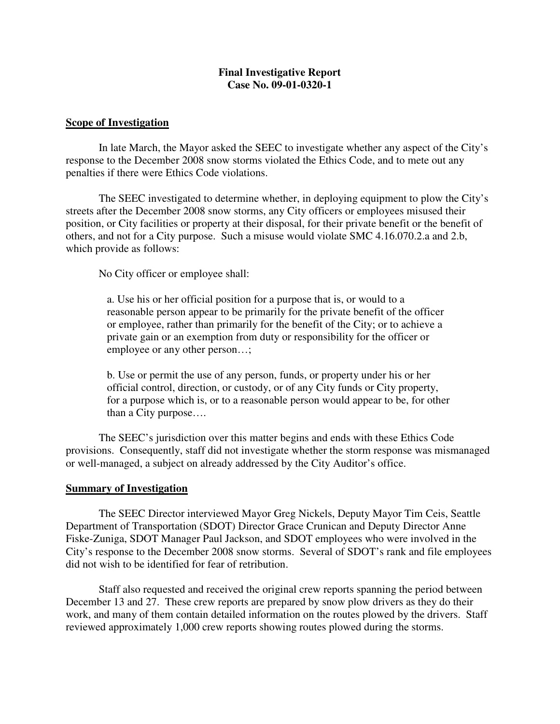# **Final Investigative Report Case No. 09-01-0320-1**

#### **Scope of Investigation**

In late March, the Mayor asked the SEEC to investigate whether any aspect of the City's response to the December 2008 snow storms violated the Ethics Code, and to mete out any penalties if there were Ethics Code violations.

The SEEC investigated to determine whether, in deploying equipment to plow the City's streets after the December 2008 snow storms, any City officers or employees misused their position, or City facilities or property at their disposal, for their private benefit or the benefit of others, and not for a City purpose. Such a misuse would violate SMC 4.16.070.2.a and 2.b, which provide as follows:

No City officer or employee shall:

a. Use his or her official position for a purpose that is, or would to a reasonable person appear to be primarily for the private benefit of the officer or employee, rather than primarily for the benefit of the City; or to achieve a private gain or an exemption from duty or responsibility for the officer or employee or any other person…;

b. Use or permit the use of any person, funds, or property under his or her official control, direction, or custody, or of any City funds or City property, for a purpose which is, or to a reasonable person would appear to be, for other than a City purpose….

The SEEC's jurisdiction over this matter begins and ends with these Ethics Code provisions. Consequently, staff did not investigate whether the storm response was mismanaged or well-managed, a subject on already addressed by the City Auditor's office.

## **Summary of Investigation**

The SEEC Director interviewed Mayor Greg Nickels, Deputy Mayor Tim Ceis, Seattle Department of Transportation (SDOT) Director Grace Crunican and Deputy Director Anne Fiske-Zuniga, SDOT Manager Paul Jackson, and SDOT employees who were involved in the City's response to the December 2008 snow storms. Several of SDOT's rank and file employees did not wish to be identified for fear of retribution.

Staff also requested and received the original crew reports spanning the period between December 13 and 27. These crew reports are prepared by snow plow drivers as they do their work, and many of them contain detailed information on the routes plowed by the drivers. Staff reviewed approximately 1,000 crew reports showing routes plowed during the storms.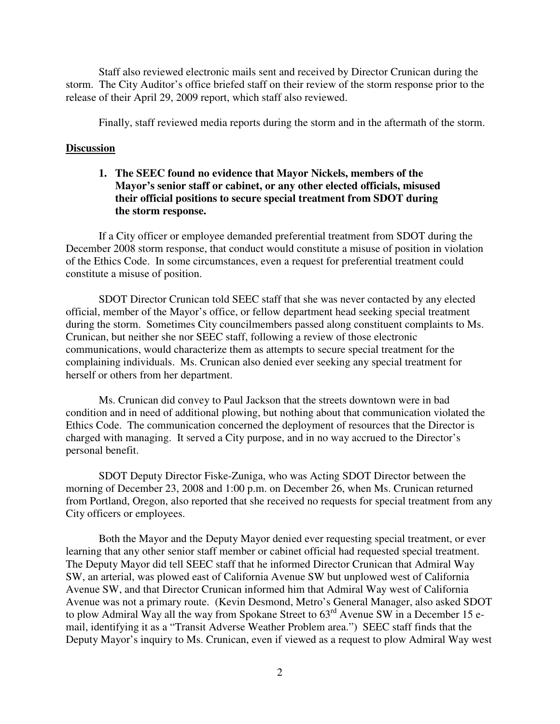Staff also reviewed electronic mails sent and received by Director Crunican during the storm. The City Auditor's office briefed staff on their review of the storm response prior to the release of their April 29, 2009 report, which staff also reviewed.

Finally, staff reviewed media reports during the storm and in the aftermath of the storm.

#### **Discussion**

**1. The SEEC found no evidence that Mayor Nickels, members of the Mayor's senior staff or cabinet, or any other elected officials, misused their official positions to secure special treatment from SDOT during the storm response.**

If a City officer or employee demanded preferential treatment from SDOT during the December 2008 storm response, that conduct would constitute a misuse of position in violation of the Ethics Code. In some circumstances, even a request for preferential treatment could constitute a misuse of position.

SDOT Director Crunican told SEEC staff that she was never contacted by any elected official, member of the Mayor's office, or fellow department head seeking special treatment during the storm. Sometimes City councilmembers passed along constituent complaints to Ms. Crunican, but neither she nor SEEC staff, following a review of those electronic communications, would characterize them as attempts to secure special treatment for the complaining individuals. Ms. Crunican also denied ever seeking any special treatment for herself or others from her department.

Ms. Crunican did convey to Paul Jackson that the streets downtown were in bad condition and in need of additional plowing, but nothing about that communication violated the Ethics Code. The communication concerned the deployment of resources that the Director is charged with managing. It served a City purpose, and in no way accrued to the Director's personal benefit.

SDOT Deputy Director Fiske-Zuniga, who was Acting SDOT Director between the morning of December 23, 2008 and 1:00 p.m. on December 26, when Ms. Crunican returned from Portland, Oregon, also reported that she received no requests for special treatment from any City officers or employees.

Both the Mayor and the Deputy Mayor denied ever requesting special treatment, or ever learning that any other senior staff member or cabinet official had requested special treatment. The Deputy Mayor did tell SEEC staff that he informed Director Crunican that Admiral Way SW, an arterial, was plowed east of California Avenue SW but unplowed west of California Avenue SW, and that Director Crunican informed him that Admiral Way west of California Avenue was not a primary route. (Kevin Desmond, Metro's General Manager, also asked SDOT to plow Admiral Way all the way from Spokane Street to  $63<sup>rd</sup>$  Avenue SW in a December 15 email, identifying it as a "Transit Adverse Weather Problem area.") SEEC staff finds that the Deputy Mayor's inquiry to Ms. Crunican, even if viewed as a request to plow Admiral Way west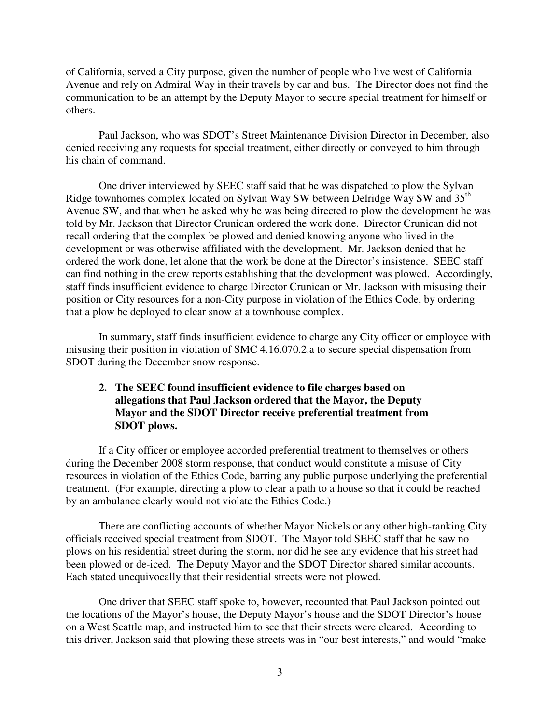of California, served a City purpose, given the number of people who live west of California Avenue and rely on Admiral Way in their travels by car and bus. The Director does not find the communication to be an attempt by the Deputy Mayor to secure special treatment for himself or others.

Paul Jackson, who was SDOT's Street Maintenance Division Director in December, also denied receiving any requests for special treatment, either directly or conveyed to him through his chain of command.

One driver interviewed by SEEC staff said that he was dispatched to plow the Sylvan Ridge townhomes complex located on Sylvan Way SW between Delridge Way SW and 35<sup>th</sup> Avenue SW, and that when he asked why he was being directed to plow the development he was told by Mr. Jackson that Director Crunican ordered the work done. Director Crunican did not recall ordering that the complex be plowed and denied knowing anyone who lived in the development or was otherwise affiliated with the development. Mr. Jackson denied that he ordered the work done, let alone that the work be done at the Director's insistence. SEEC staff can find nothing in the crew reports establishing that the development was plowed. Accordingly, staff finds insufficient evidence to charge Director Crunican or Mr. Jackson with misusing their position or City resources for a non-City purpose in violation of the Ethics Code, by ordering that a plow be deployed to clear snow at a townhouse complex.

In summary, staff finds insufficient evidence to charge any City officer or employee with misusing their position in violation of SMC 4.16.070.2.a to secure special dispensation from SDOT during the December snow response.

# **2. The SEEC found insufficient evidence to file charges based on allegations that Paul Jackson ordered that the Mayor, the Deputy Mayor and the SDOT Director receive preferential treatment from SDOT plows.**

If a City officer or employee accorded preferential treatment to themselves or others during the December 2008 storm response, that conduct would constitute a misuse of City resources in violation of the Ethics Code, barring any public purpose underlying the preferential treatment. (For example, directing a plow to clear a path to a house so that it could be reached by an ambulance clearly would not violate the Ethics Code.)

There are conflicting accounts of whether Mayor Nickels or any other high-ranking City officials received special treatment from SDOT. The Mayor told SEEC staff that he saw no plows on his residential street during the storm, nor did he see any evidence that his street had been plowed or de-iced. The Deputy Mayor and the SDOT Director shared similar accounts. Each stated unequivocally that their residential streets were not plowed.

One driver that SEEC staff spoke to, however, recounted that Paul Jackson pointed out the locations of the Mayor's house, the Deputy Mayor's house and the SDOT Director's house on a West Seattle map, and instructed him to see that their streets were cleared. According to this driver, Jackson said that plowing these streets was in "our best interests," and would "make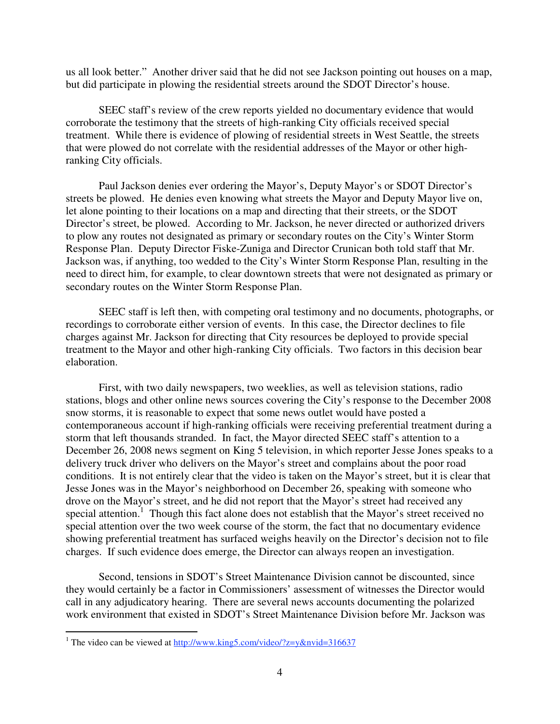us all look better." Another driver said that he did not see Jackson pointing out houses on a map, but did participate in plowing the residential streets around the SDOT Director's house.

SEEC staff's review of the crew reports yielded no documentary evidence that would corroborate the testimony that the streets of high-ranking City officials received special treatment. While there is evidence of plowing of residential streets in West Seattle, the streets that were plowed do not correlate with the residential addresses of the Mayor or other highranking City officials.

Paul Jackson denies ever ordering the Mayor's, Deputy Mayor's or SDOT Director's streets be plowed. He denies even knowing what streets the Mayor and Deputy Mayor live on, let alone pointing to their locations on a map and directing that their streets, or the SDOT Director's street, be plowed. According to Mr. Jackson, he never directed or authorized drivers to plow any routes not designated as primary or secondary routes on the City's Winter Storm Response Plan. Deputy Director Fiske-Zuniga and Director Crunican both told staff that Mr. Jackson was, if anything, too wedded to the City's Winter Storm Response Plan, resulting in the need to direct him, for example, to clear downtown streets that were not designated as primary or secondary routes on the Winter Storm Response Plan.

SEEC staff is left then, with competing oral testimony and no documents, photographs, or recordings to corroborate either version of events. In this case, the Director declines to file charges against Mr. Jackson for directing that City resources be deployed to provide special treatment to the Mayor and other high-ranking City officials. Two factors in this decision bear elaboration.

First, with two daily newspapers, two weeklies, as well as television stations, radio stations, blogs and other online news sources covering the City's response to the December 2008 snow storms, it is reasonable to expect that some news outlet would have posted a contemporaneous account if high-ranking officials were receiving preferential treatment during a storm that left thousands stranded. In fact, the Mayor directed SEEC staff's attention to a December 26, 2008 news segment on King 5 television, in which reporter Jesse Jones speaks to a delivery truck driver who delivers on the Mayor's street and complains about the poor road conditions. It is not entirely clear that the video is taken on the Mayor's street, but it is clear that Jesse Jones was in the Mayor's neighborhood on December 26, speaking with someone who drove on the Mayor's street, and he did not report that the Mayor's street had received any special attention.<sup>1</sup> Though this fact alone does not establish that the Mayor's street received no special attention over the two week course of the storm, the fact that no documentary evidence showing preferential treatment has surfaced weighs heavily on the Director's decision not to file charges. If such evidence does emerge, the Director can always reopen an investigation.

Second, tensions in SDOT's Street Maintenance Division cannot be discounted, since they would certainly be a factor in Commissioners' assessment of witnesses the Director would call in any adjudicatory hearing. There are several news accounts documenting the polarized work environment that existed in SDOT's Street Maintenance Division before Mr. Jackson was

<sup>&</sup>lt;sup>1</sup> The video can be viewed at http://www.king5.com/video/?z=y&nvid=316637